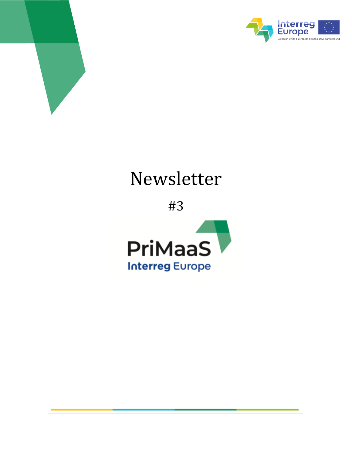



# Newsletter

#3

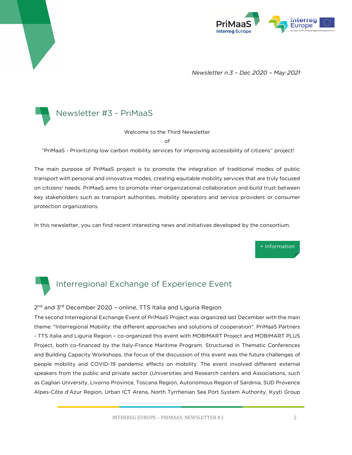

*Newsletter n.3 – Dec 2020 – May 2021*



Welcome to the Third Newsletter

of

"PriMaaS - Prioritizing low carbon mobility services for improving accessibility of citizens" project!

The main purpose of PriMaaS project is to promote the integration of traditional modes of public transport with personal and innovative modes, creating equitable mobility services that are truly focused on citizens' needs. PriMaaS aims to promote inter-organizational collaboration and build trust between key stakeholders such as transport authorities, mobility operators and service providers or consumer protection organizations.

In this newsletter, you can find recent interesting news and initiatives developed by the consortium.

[+ Information](https://www.interregeurope.eu/primaas/) 



### Interregional Exchange of Experience Event

#### 2<sup>nd</sup> and 3<sup>rd</sup> December 2020 - online, TTS Italia and Liguria Region

The second Interregional Exchange Event of PriMaaS Project was organized last December with the main theme: "Interregional Mobility: the different approaches and solutions of cooperation". PriMaaS Partners - TTS Italia and Liguria Region – co-organized this event with MOBIMART Project and MOBIMART PLUS Project, both co-financed by the Italy-France Maritime Program. Structured in Thematic Conferences and Building Capacity Workshops, the focus of the discussion of this event was the future challenges of people mobility and COVID-19 pandemic effects on mobility. The event involved different external speakers from the public and private sector (Universities and Research centers and Associations, such as Cagliari University, Livorno Province, Toscana Region, Autonomous Region of Sardinia, SUD Provence Alpes-Côte d'Azur Region, Urban ICT Arena, North Tyrrhenian Sea Port System Authority, Kyyti Group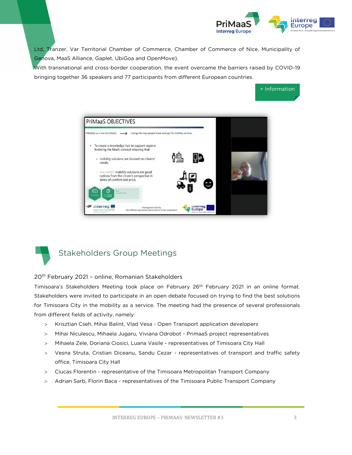

[+ Information](https://www.interregeurope.eu/primaas/news/news-article/12370/interregional-mobility-online-event/)

Ltd, Tranzer, Var Territorial Chamber of Commerce, Chamber of Commerce of Nice, Municipality of Genova, MaaS Alliance, Gaplet, UbiGoa and OpenMove).

With transnational and cross-border cooperation, the event overcame the barriers raised by COVID-19 bringing together 36 speakers and 77 participants from different European countries.





## Stakeholders Group Meetings

20th February 2021 – online, Romanian Stakeholders

Timisoara's Stakeholders Meeting took place on February 26th February 2021 in an online format. Stakeholders were invited to participate in an open debate focused on trying to find the best solutions for Timisoara City in the mobility as a service. The meeting had the presence of several professionals from different fields of activity, namely:

- Krisztian Cseh, Mihai Balint, Vlad Vesa Open Transport application developers
- Mihai Niculescu, Mihaela Jugaru, Viviana Odrobot PrimaaS project representatives
- Mihaela Zele, Doriana Ciosici, Luana Vasile representatives of Timisoara City Hall
- Vesna Struta, Cristian Diceanu, Sandu Cezar representatives of transport and traffic safety office, Timisoara City Hall
- Ciucas Florentin representative of the Timisoara Metropolitan Transport Company
- Adrian Sarb, Florin Baca representatives of the Timisoara Public Transport Company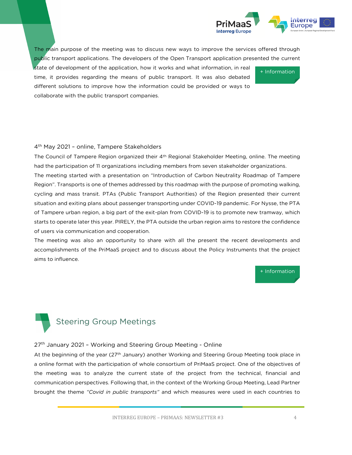

[+ Information](https://www.interregeurope.eu/primaas/news/news-article/12760/3rd-regional-stakeholders-meeting-romania/)

The main purpose of the meeting was to discuss new ways to improve the services offered through public transport applications. The developers of the Open Transport application presented the current

state of development of the application, how it works and what information, in real time, it provides regarding the means of public transport. It was also debated different solutions to improve how the information could be provided or ways to collaborate with the public transport companies.

#### 4 th May 2021 – online, Tampere Stakeholders

The Council of Tampere Region organized their 4<sup>th</sup> Regional Stakeholder Meeting, online. The meeting had the participation of 11 organizations including members from seven stakeholder organizations. The meeting started with a presentation on "Introduction of Carbon Neutrality Roadmap of Tampere Region". Transports is one of themes addressed by this roadmap with the purpose of promoting walking, cycling and mass transit. PTAs (Public Transport Authorities) of the Region presented their current situation and exiting plans about passenger transporting under COVID-19 pandemic. For Nysse, the PTA of Tampere urban region, a big part of the exit-plan from COVID-19 is to promote new tramway, which starts to operate later this year. PIRELY, the PTA outside the urban region aims to restore the confidence of users via communication and cooperation.

The meeting was also an opportunity to share with all the present the recent developments and accomplishments of the PriMaaS project and to discuss about the Policy Instruments that the project aims to influence.

[+ Information](https://www.interregeurope.eu/primaas/news/news-article/12371/4th-regional-stakeholders-meeting-tampere-region/) 



# Steering Group Meetings

#### 27<sup>th</sup> January 2021 - Working and Steering Group Meeting - Online

At the beginning of the year (27th January) another Working and Steering Group Meeting took place in a online format with the participation of whole consortium of PriMaaS project. One of the objectives of the meeting was to analyze the current state of the project from the technical, financial and communication perspectives. Following that, in the context of the Working Group Meeting, Lead Partner brought the theme *"Covid in public transports"* and which measures were used in each countries to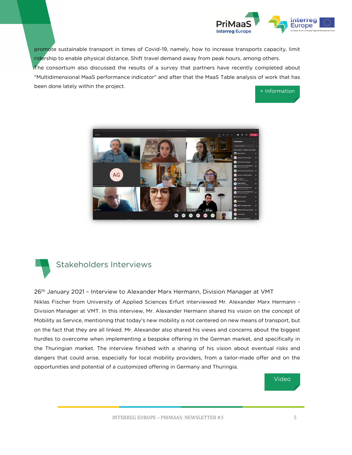

promote sustainable transport in times of Covid-19, namely, how to increase transports capacity, limit ridership to enable physical distance, Shift travel demand away from peak hours, among others. The consortium also discussed the results of a survey that partners have recently completed about "Multidimensional MaaS performance indicator" and after that the MaaS Table analysis of work that has been done lately within the project.

[+ Information](https://www.interregeurope.eu/primaas/news/news-article/11131/steering-and-working-group-meeting/) 





## Stakeholders Interviews

26<sup>th</sup> January 2021 - Interview to Alexander Marx Hermann, Division Manager at VMT Niklas Fischer from University of Applied Sciences Erfurt interviewed Mr. Alexander Marx Hermann - Division Manager at VMT. In this interview, Mr. Alexander Hermann shared his vision on the concept of Mobility as Service, mentioning that today's new mobility is not centered on new means of transport, but on the fact that they are all linked. Mr. Alexander also shared his views and concerns about the biggest hurdles to overcome when implementing a bespoke offering in the German market, and specifically in the Thuringian market. The interview finished with a sharing of his vision about eventual risks and dangers that could arise, especially for local mobility providers, from a tailor-made offer and on the opportunities and potential of a customized offering in Germany and Thuringia.

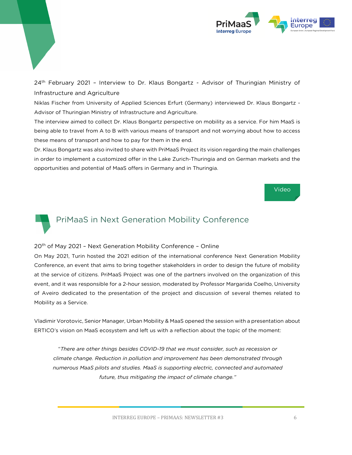

24<sup>th</sup> February 2021 - Interview to Dr. Klaus Bongartz - Advisor of Thuringian Ministry of Infrastructure and Agriculture

Niklas Fischer from University of Applied Sciences Erfurt (Germany) interviewed Dr. Klaus Bongartz - Advisor of Thuringian Ministry of Infrastructure and Agriculture.

The interview aimed to collect Dr. Klaus Bongartz perspective on mobility as a service. For him MaaS is being able to travel from A to B with various means of transport and not worrying about how to access these means of transport and how to pay for them in the end.

Dr. Klaus Bongartz was also invited to share with PriMaaS Project its vision regarding the main challenges in order to implement a customized offer in the Lake Zurich-Thuringia and on German markets and the opportunities and potential of MaaS offers in Germany and in Thuringia.





## PriMaaS in Next Generation Mobility Conference

#### 20<sup>th</sup> of May 2021 - Next Generation Mobility Conference - Online

On May 2021, Turin hosted the 2021 edition of the international conference Next Generation Mobility Conference, an event that aims to bring together stakeholders in order to design the future of mobility at the service of citizens. PriMaaS Project was one of the partners involved on the organization of this event, and it was responsible for a 2-hour session, moderated by Professor Margarida Coelho, University of Aveiro dedicated to the presentation of the project and discussion of several themes related to Mobility as a Service.

Vladimir Vorotovic, Senior Manager, Urban Mobility & MaaS opened the session with a presentation about ERTICO's vision on MaaS ecosystem and left us with a reflection about the topic of the moment:

"*There are other things besides COVID-19 that we must consider, such as recession or climate change. Reduction in pollution and improvement has been demonstrated through numerous MaaS pilots and studies. MaaS is supporting electric, connected and automated future, thus mitigating the impact of climate change."*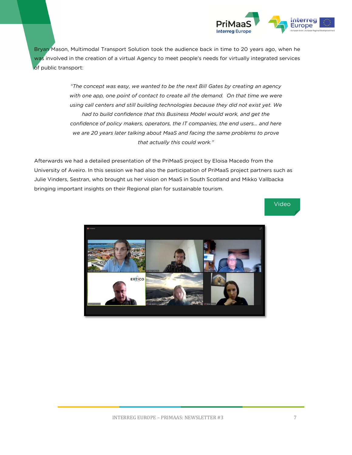

Bryan Mason, Multimodal Transport Solution took the audience back in time to 20 years ago, when he was involved in the creation of a virtual Agency to meet people's needs for virtually integrated services of public transport:

> *"The concept was easy, we wanted to be the next Bill Gates by creating an agency with one app, one point of contact to create all the demand. On that time we were using call centers and still building technologies because they did not exist yet. We had to build confidence that this Business Model would work, and get the confidence of policy makers, operators, the IT companies, the end users… and here we are 20 years later talking about MaaS and facing the same problems to prove that actually this could work."*

Afterwards we had a detailed presentation of the PriMaaS project by Eloisa Macedo from the University of Aveiro. In this session we had also the participation of PriMaaS project partners such as Julie Vinders, Sestran, who brought us her vision on MaaS in South Scotland and Mikko Vallbacka bringing important insights on their Regional plan for sustainable tourism.



[Video](https://www.youtube.com/watch?v=NbkHuhxqXdc)